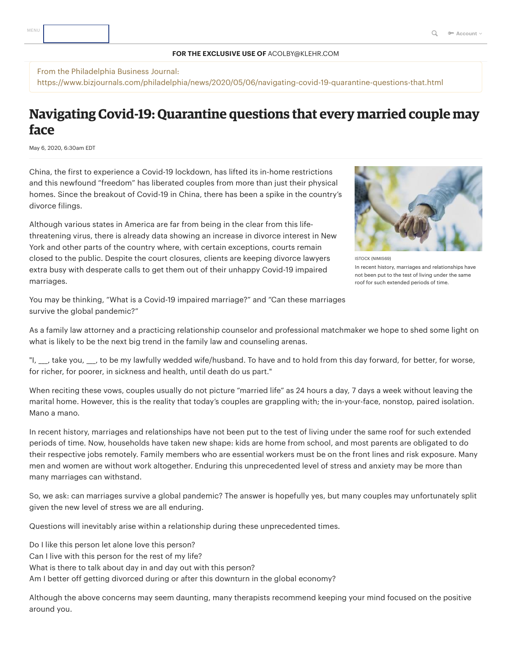## **FOR THE EXCLUSIVE USE OF** ACOLBY@KLEHR.COM

From the Philadelphia Business Journal: https://www.bizjournals.com/philadelphia/news/2020/05/06/navigating-covid-19-quarantine-questions-that.html

## **Navigating Covid-19: Quarantine questions that every married couple may face**

May 6, 2020, 6:30am EDT

China, the first to experience a Covid-19 lockdown, has lifted its in-home restrictions and this newfound "freedom" has liberated couples from more than just their physical homes. Since the breakout of Covid-19 in China, there has been a spike in the country's divorce filings.

Although various states in America are far from being in the clear from this lifethreatening virus, there is already data showing an increase in divorce interest in New York and other parts of the country where, with certain exceptions, courts remain closed to the public. Despite the court closures, clients are keeping divorce lawyers extra busy with desperate calls to get them out of their unhappy Covid-19 impaired marriages.



ISTOCK (NIMIS69) In recent history, marriages and relationships have not been put to the test of living under the same roof for such extended periods of time.

You may be thinking, "What is a Covid-19 impaired marriage?" and "Can these marriages survive the global pandemic?"

As a family law attorney and a practicing relationship counselor and professional matchmaker we hope to shed some light on what is likely to be the next big trend in the family law and counseling arenas.

"I, \_\_, take you, \_\_, to be my lawfully wedded wife/husband. To have and to hold from this day forward, for better, for worse, for richer, for poorer, in sickness and health, until death do us part."

When reciting these vows, couples usually do not picture "married life" as 24 hours a day, 7 days a week without leaving the marital home. However, this is the reality that today's couples are grappling with; the in-your-face, nonstop, paired isolation. Mano a mano.

In recent history, marriages and relationships have not been put to the test of living under the same roof for such extended periods of time. Now, households have taken new shape: kids are home from school, and most parents are obligated to do their respective jobs remotely. Family members who are essential workers must be on the front lines and risk exposure. Many men and women are without work altogether. Enduring this unprecedented level of stress and anxiety may be more than many marriages can withstand.

So, we ask: can marriages survive a global pandemic? The answer is hopefully yes, but many couples may unfortunately split given the new level of stress we are all enduring.

Questions will inevitably arise within a relationship during these unprecedented times.

Do I like this person let alone love this person?

Can I live with this person for the rest of my life?

What is there to talk about day in and day out with this person?

Am I better off getting divorced during or after this downturn in the global economy?

Although the above concerns may seem daunting, many therapists recommend keeping your mind focused on the positive around you.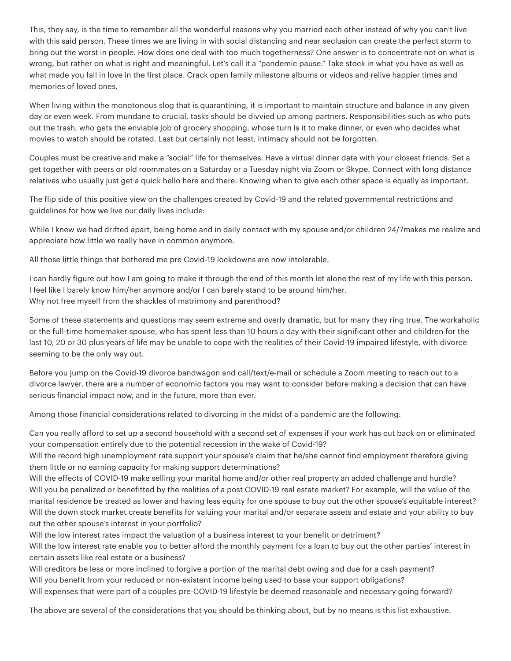This, they say, is the time to remember all the wonderful reasons why you married each other instead of why you can't live with this said person. These times we are living in with social distancing and near seclusion can create the perfect storm to bring out the worst in people. How does one deal with too much togetherness? One answer is to concentrate not on what is wrong, but rather on what is right and meaningful. Let's call it a "pandemic pause." Take stock in what you have as well as what made you fall in love in the first place. Crack open family milestone albums or videos and relive happier times and memories of loved ones.

When living within the monotonous slog that is quarantining, it is important to maintain structure and balance in any given day or even week. From mundane to crucial, tasks should be divvied up among partners. Responsibilities such as who puts out the trash, who gets the enviable job of grocery shopping, whose turn is it to make dinner, or even who decides what movies to watch should be rotated. Last but certainly not least, intimacy should not be forgotten.

Couples must be creative and make a "social" life for themselves. Have a virtual dinner date with your closest friends. Set a get together with peers or old roommates on a Saturday or a Tuesday night via Zoom or Skype. Connect with long distance relatives who usually just get a quick hello here and there. Knowing when to give each other space is equally as important.

The flip side of this positive view on the challenges created by Covid-19 and the related governmental restrictions and guidelines for how we live our daily lives include:

While I knew we had drifted apart, being home and in daily contact with my spouse and/or children 24/7makes me realize and appreciate how little we really have in common anymore.

All those little things that bothered me pre Covid-19 lockdowns are now intolerable.

I can hardly figure out how I am going to make it through the end of this month let alone the rest of my life with this person. I feel like I barely know him/her anymore and/or I can barely stand to be around him/her. Why not free myself from the shackles of matrimony and parenthood?

Some of these statements and questions may seem extreme and overly dramatic, but for many they ring true. The workaholic or the full-time homemaker spouse, who has spent less than 10 hours a day with their significant other and children for the last 10, 20 or 30 plus years of life may be unable to cope with the realities of their Covid-19 impaired lifestyle, with divorce seeming to be the only way out.

Before you jump on the Covid-19 divorce bandwagon and call/text/e-mail or schedule a Zoom meeting to reach out to a divorce lawyer, there are a number of economic factors you may want to consider before making a decision that can have serious financial impact now, and in the future, more than ever.

Among those financial considerations related to divorcing in the midst of a pandemic are the following:

Can you really afford to set up a second household with a second set of expenses if your work has cut back on or eliminated your compensation entirely due to the potential recession in the wake of Covid-19?

Will the record high unemployment rate support your spouse's claim that he/she cannot find employment therefore giving them little or no earning capacity for making support determinations?

Will the effects of COVID-19 make selling your marital home and/or other real property an added challenge and hurdle? Will you be penalized or benefitted by the realities of a post COVID-19 real estate market? For example, will the value of the marital residence be treated as lower and having less equity for one spouse to buy out the other spouse's equitable interest? Will the down stock market create benefits for valuing your marital and/or separate assets and estate and your ability to buy out the other spouse's interest in your portfolio?

Will the low interest rates impact the valuation of a business interest to your benefit or detriment?

Will the low interest rate enable you to better afford the monthly payment for a loan to buy out the other parties' interest in certain assets like real estate or a business?

Will creditors be less or more inclined to forgive a portion of the marital debt owing and due for a cash payment? Will you benefit from your reduced or non-existent income being used to base your support obligations?

Will expenses that were part of a couples pre-COVID-19 lifestyle be deemed reasonable and necessary going forward?

The above are several of the considerations that you should be thinking about, but by no means is this list exhaustive.